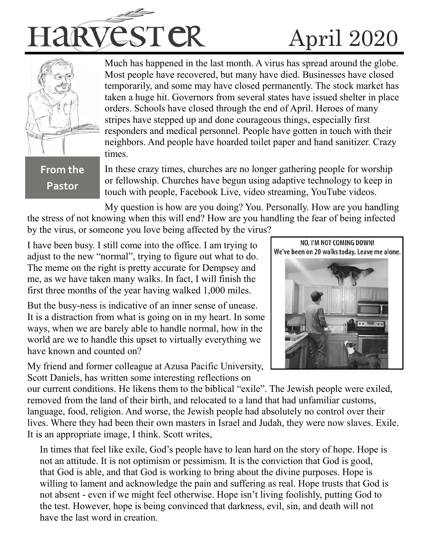



Much has happened in the last month. A virus has spread around the globe. Most people have recovered, but many have died. Businesses have closed temporarily, and some may have closed permanently. The stock market has taken a huge hit. Governors from several states have issued shelter in place orders. Schools have closed through the end of April. Heroes of many stripes have stepped up and done courageous things, especially first responders and medical personnel. People have gotten in touch with their neighbors. And people have hoarded toilet paper and hand sanitizer. Crazy times.

## **From the Pastor**

In these crazy times, churches are no longer gathering people for worship or fellowship. Churches have begun using adaptive technology to keep in touch with people, Facebook Live, video streaming, YouTube videos.

My question is how are you doing? You. Personally. How are you handling the stress of not knowing when this will end? How are you handling the fear of being infected by the virus, or someone you love being affected by the virus?

I have been busy. I still come into the office. I am trying to adjust to the new "normal", trying to figure out what to do. The meme on the right is pretty accurate for Dempsey and me, as we have taken many walks. In fact, I will finish the first three months of the year having walked 1,000 miles.

But the busy-ness is indicative of an inner sense of unease. It is a distraction from what is going on in my heart. In some ways, when we are barely able to handle normal, how in the world are we to handle this upset to virtually everything we have known and counted on?

My friend and former colleague at Azusa Pacific University, Scott Daniels, has written some interesting reflections on



our current conditions. He likens them to the biblical "exile". The Jewish people were exiled, removed from the land of their birth, and relocated to a land that had unfamiliar customs, language, food, religion. And worse, the Jewish people had absolutely no control over their lives. Where they had been their own masters in Israel and Judah, they were now slaves. Exile. It is an appropriate image, I think. Scott writes,

In times that feel like exile, God's people have to lean hard on the story of hope. Hope is not an attitude. It is not optimism or pessimism. It is the conviction that God is good, that God is able, and that God is working to bring about the divine purposes. Hope is willing to lament and acknowledge the pain and suffering as real. Hope trusts that God is not absent - even if we might feel otherwise. Hope isn't living foolishly, putting God to the test. However, hope is being convinced that darkness, evil, sin, and death will not have the last word in creation.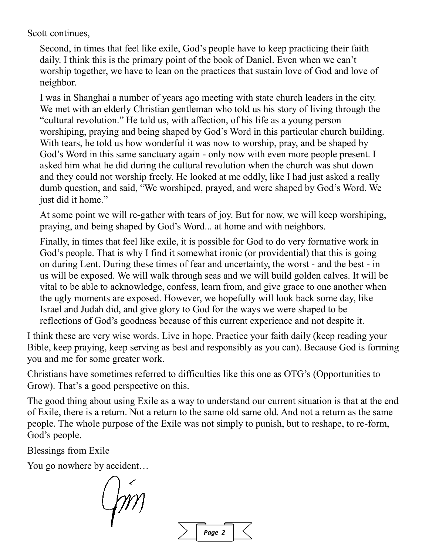Scott continues,

Second, in times that feel like exile, God's people have to keep practicing their faith daily. I think this is the primary point of the book of Daniel. Even when we can't worship together, we have to lean on the practices that sustain love of God and love of neighbor.

I was in Shanghai a number of years ago meeting with state church leaders in the city. We met with an elderly Christian gentleman who told us his story of living through the "cultural revolution." He told us, with affection, of his life as a young person worshiping, praying and being shaped by God's Word in this particular church building. With tears, he told us how wonderful it was now to worship, pray, and be shaped by God's Word in this same sanctuary again - only now with even more people present. I asked him what he did during the cultural revolution when the church was shut down and they could not worship freely. He looked at me oddly, like I had just asked a really dumb question, and said, "We worshiped, prayed, and were shaped by God's Word. We just did it home."

At some point we will re-gather with tears of joy. But for now, we will keep worshiping, praying, and being shaped by God's Word... at home and with neighbors.

Finally, in times that feel like exile, it is possible for God to do very formative work in God's people. That is why I find it somewhat ironic (or providential) that this is going on during Lent. During these times of fear and uncertainty, the worst - and the best - in us will be exposed. We will walk through seas and we will build golden calves. It will be vital to be able to acknowledge, confess, learn from, and give grace to one another when the ugly moments are exposed. However, we hopefully will look back some day, like Israel and Judah did, and give glory to God for the ways we were shaped to be reflections of God's goodness because of this current experience and not despite it.

I think these are very wise words. Live in hope. Practice your faith daily (keep reading your Bible, keep praying, keep serving as best and responsibly as you can). Because God is forming you and me for some greater work.

Christians have sometimes referred to difficulties like this one as OTG's (Opportunities to Grow). That's a good perspective on this.

The good thing about using Exile as a way to understand our current situation is that at the end of Exile, there is a return. Not a return to the same old same old. And not a return as the same people. The whole purpose of the Exile was not simply to punish, but to reshape, to re-form, God's people.

Blessings from Exile

You go nowhere by accident…

 $\sqrt{m}$ 

*Page 2*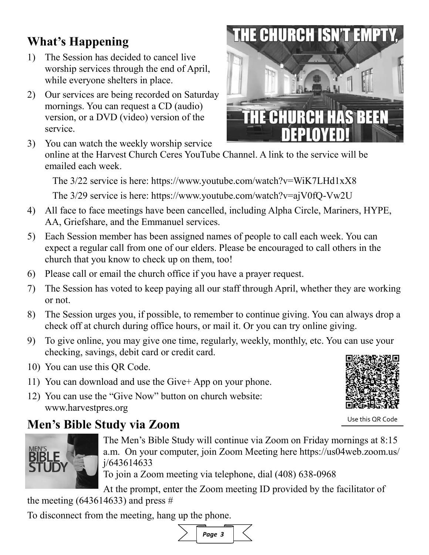# the meeting  $(643614633)$  and press #

To disconnect from the meeting, hang up the phone.

# **What's Happening**

- 1) The Session has decided to cancel live worship services through the end of April, while everyone shelters in place.
- 2) Our services are being recorded on Saturday mornings. You can request a CD (audio) version, or a DVD (video) version of the service.



The 3/22 service is here: https://www.youtube.com/watch?v=WiK7LHd1xX8

The 3/29 service is here: https://www.youtube.com/watch?v=ajV0fQ-Vw2U

- 4) All face to face meetings have been cancelled, including Alpha Circle, Mariners, HYPE, AA, Griefshare, and the Emmanuel services.
- 5) Each Session member has been assigned names of people to call each week. You can expect a regular call from one of our elders. Please be encouraged to call others in the church that you know to check up on them, too!
- 6) Please call or email the church office if you have a prayer request.
- 7) The Session has voted to keep paying all our staff through April, whether they are working or not.
- 8) The Session urges you, if possible, to remember to continue giving. You can always drop a check off at church during office hours, or mail it. Or you can try online giving.
- 9) To give online, you may give one time, regularly, weekly, monthly, etc. You can use your checking, savings, debit card or credit card.
- 10) You can use this QR Code.
- 11) You can download and use the Give+ App on your phone.
- 12) You can use the "Give Now" button on church website: www.harvestpres.org

# **Men's Bible Study via Zoom**

The Men's Bible Study will continue via Zoom on Friday mornings at 8:15 a.m. On your computer, join Zoom Meeting here https://us04web.zoom.us/ j/643614633

To join a Zoom meeting via telephone, dial (408) 638-0968

At the prompt, enter the Zoom meeting ID provided by the facilitator of





Use this QR Code



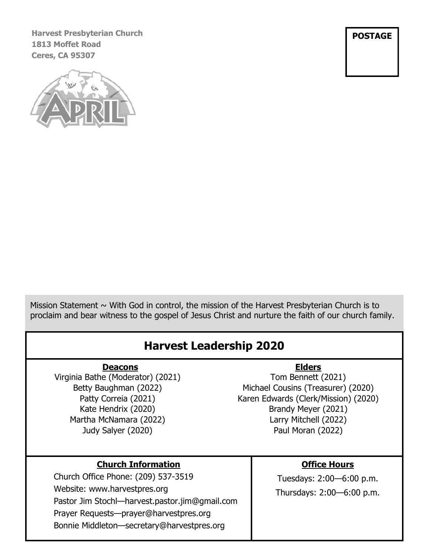**Harvest Presbyterian Church 1813 Moffet Road Ceres, CA 95307**



**POSTAGE**

Mission Statement  $\sim$  With God in control, the mission of the Harvest Presbyterian Church is to proclaim and bear witness to the gospel of Jesus Christ and nurture the faith of our church family.

#### **Deacons** Virginia Bathe (Moderator) (2021) Betty Baughman (2022) Patty Correia (2021) Kate Hendrix (2020) Martha McNamara (2022) **Elders** Tom Bennett (2021) Michael Cousins (Treasurer) (2020) Karen Edwards (Clerk/Mission) (2020) Brandy Meyer (2021) **Harvest Leadership 2020**

Larry Mitchell (2022)

### **Church Information**

Judy Salyer (2020)

Church Office Phone: (209) 537-3519 Website: www.harvestpres.org Pastor Jim Stochl—harvest.pastor.jim@gmail.com Prayer Requests—prayer@harvestpres.org Bonnie Middleton—secretary@harvestpres.org

#### **Office Hours**

Paul Moran (2022)

Tuesdays: 2:00—6:00 p.m. Thursdays: 2:00—6:00 p.m.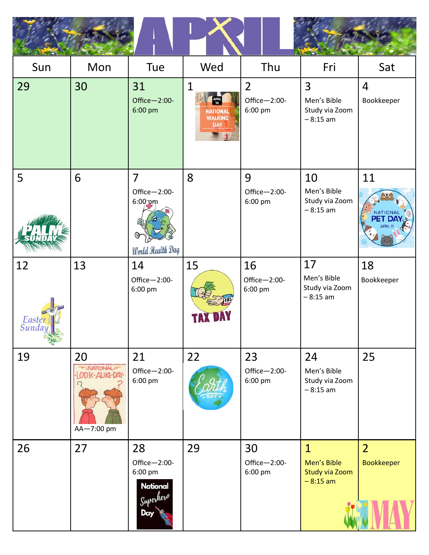| Sun                                 | Mon                                                  | Tue                                                                  | Wed                                                                  | Thu                                       | Fri                                                         | Sat                                 |
|-------------------------------------|------------------------------------------------------|----------------------------------------------------------------------|----------------------------------------------------------------------|-------------------------------------------|-------------------------------------------------------------|-------------------------------------|
| 29                                  | 30                                                   | 31<br>Office-2:00-<br>6:00 pm                                        | 1<br><b>APRIL</b><br><b>NATIONAL</b><br><b>WALKING</b><br><b>DAY</b> | $\overline{2}$<br>Office-2:00-<br>6:00 pm | 3<br>Men's Bible<br>Study via Zoom<br>$-8:15$ am            | $\overline{4}$<br>Bookkeeper        |
| 5                                   | 6                                                    | $\overline{7}$<br>Office-2:00-<br>$6:00$ pm<br>World Health Day      | 8                                                                    | 9<br>Office-2:00-<br>6:00 pm              | 10<br>Men's Bible<br>Study via Zoom<br>$-8:15$ am           | 11<br><b>NATIONAL</b>               |
| 12<br>Easter <sup>l</sup><br>Sunday | 13                                                   | 14<br>Office-2:00-<br>6:00 pm                                        | 15                                                                   | 16<br>Office-2:00-<br>6:00 pm             | 17<br>Men's Bible<br>Study via Zoom<br>$-8:15$ am           | 18<br>Bookkeeper                    |
| 19                                  | 20<br><b>ONATIONAL</b><br>ODK-AUKE-DAY<br>AA-7:00 pm | 21<br>Office-2:00-<br>6:00 pm                                        | 22                                                                   | 23<br>Office-2:00-<br>6:00 pm             | 24<br>Men's Bible<br>Study via Zoom<br>$-8:15$ am           | 25                                  |
| 26                                  | 27                                                   | 28<br>Office-2:00-<br>6:00 pm<br><b>National</b><br>Superhero<br>Day | 29                                                                   | 30<br>Office-2:00-<br>6:00 pm             | $\mathbf{1}$<br>Men's Bible<br>Study via Zoom<br>$-8:15$ am | $\overline{2}$<br><b>Bookkeeper</b> |